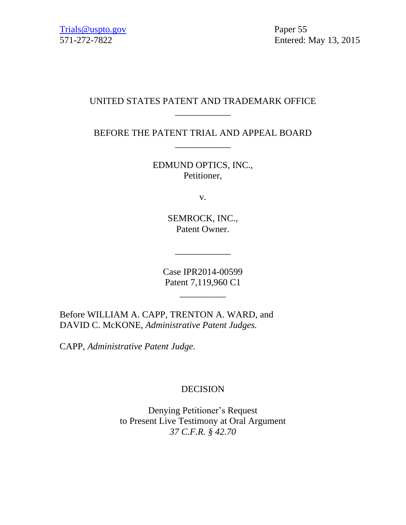## UNITED STATES PATENT AND TRADEMARK OFFICE \_\_\_\_\_\_\_\_\_\_\_\_

BEFORE THE PATENT TRIAL AND APPEAL BOARD \_\_\_\_\_\_\_\_\_\_\_\_

> EDMUND OPTICS, INC., Petitioner,

> > v.

SEMROCK, INC., Patent Owner.

Case IPR2014-00599 Patent 7,119,960 C1

 $\frac{1}{2}$  ,  $\frac{1}{2}$  ,  $\frac{1}{2}$  ,  $\frac{1}{2}$  ,  $\frac{1}{2}$  ,  $\frac{1}{2}$  ,  $\frac{1}{2}$  ,  $\frac{1}{2}$  ,  $\frac{1}{2}$  ,  $\frac{1}{2}$  ,  $\frac{1}{2}$  ,  $\frac{1}{2}$  ,  $\frac{1}{2}$  ,  $\frac{1}{2}$  ,  $\frac{1}{2}$  ,  $\frac{1}{2}$  ,  $\frac{1}{2}$  ,  $\frac{1}{2}$  ,  $\frac{1$ 

\_\_\_\_\_\_\_\_\_\_\_\_

Before WILLIAM A. CAPP, TRENTON A. WARD, and DAVID C. McKONE, *Administrative Patent Judges.*

CAPP, *Administrative Patent Judge.*

# DECISION

Denying Petitioner's Request to Present Live Testimony at Oral Argument *37 C.F.R. § 42.70*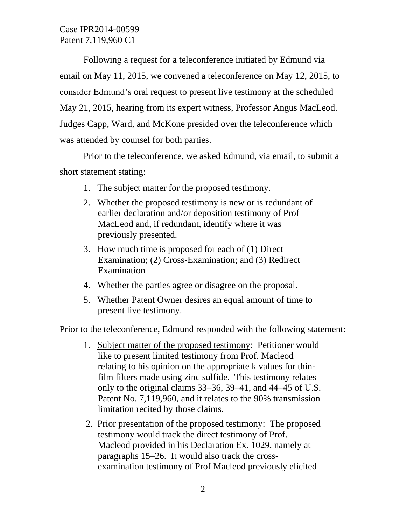Case IPR2014-00599 Patent 7,119,960 C1

Following a request for a teleconference initiated by Edmund via email on May 11, 2015, we convened a teleconference on May 12, 2015, to consider Edmund's oral request to present live testimony at the scheduled May 21, 2015, hearing from its expert witness, Professor Angus MacLeod. Judges Capp, Ward, and McKone presided over the teleconference which was attended by counsel for both parties.

Prior to the teleconference, we asked Edmund, via email, to submit a short statement stating:

- 1. The subject matter for the proposed testimony.
- 2. Whether the proposed testimony is new or is redundant of earlier declaration and/or deposition testimony of Prof MacLeod and, if redundant, identify where it was previously presented.
- 3. How much time is proposed for each of (1) Direct Examination; (2) Cross-Examination; and (3) Redirect Examination
- 4. Whether the parties agree or disagree on the proposal.
- 5. Whether Patent Owner desires an equal amount of time to present live testimony.

Prior to the teleconference, Edmund responded with the following statement:

- 1. Subject matter of the proposed testimony: Petitioner would like to present limited testimony from Prof. Macleod relating to his opinion on the appropriate k values for thinfilm filters made using zinc sulfide. This testimony relates only to the original claims 33–36, 39–41, and 44–45 of U.S. Patent No. 7,119,960, and it relates to the 90% transmission limitation recited by those claims.
- 2. Prior presentation of the proposed testimony: The proposed testimony would track the direct testimony of Prof. Macleod provided in his Declaration Ex. 1029, namely at paragraphs 15–26. It would also track the crossexamination testimony of Prof Macleod previously elicited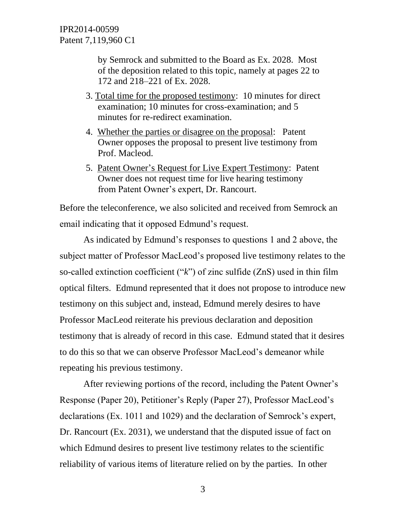by Semrock and submitted to the Board as Ex. 2028. Most of the deposition related to this topic, namely at pages 22 to 172 and 218–221 of Ex. 2028.

- 3. Total time for the proposed testimony: 10 minutes for direct examination; 10 minutes for cross-examination; and 5 minutes for re-redirect examination.
- 4. Whether the parties or disagree on the proposal: Patent Owner opposes the proposal to present live testimony from Prof. Macleod.
- 5. Patent Owner's Request for Live Expert Testimony: Patent Owner does not request time for live hearing testimony from Patent Owner's expert, Dr. Rancourt.

Before the teleconference, we also solicited and received from Semrock an email indicating that it opposed Edmund's request.

As indicated by Edmund's responses to questions 1 and 2 above, the subject matter of Professor MacLeod's proposed live testimony relates to the so-called extinction coefficient ("*k*") of zinc sulfide (ZnS) used in thin film optical filters. Edmund represented that it does not propose to introduce new testimony on this subject and, instead, Edmund merely desires to have Professor MacLeod reiterate his previous declaration and deposition testimony that is already of record in this case. Edmund stated that it desires to do this so that we can observe Professor MacLeod's demeanor while repeating his previous testimony.

After reviewing portions of the record, including the Patent Owner's Response (Paper 20), Petitioner's Reply (Paper 27), Professor MacLeod's declarations (Ex. 1011 and 1029) and the declaration of Semrock's expert, Dr. Rancourt (Ex. 2031), we understand that the disputed issue of fact on which Edmund desires to present live testimony relates to the scientific reliability of various items of literature relied on by the parties. In other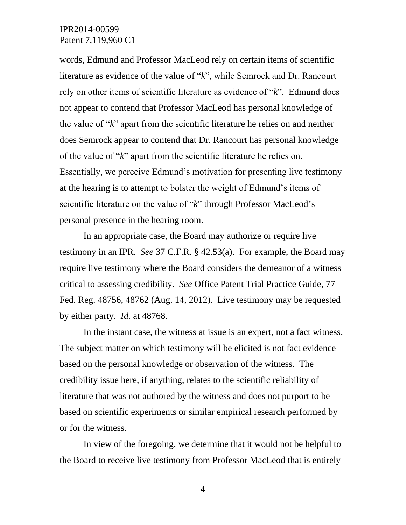### IPR2014-00599 Patent 7,119,960 C1

words, Edmund and Professor MacLeod rely on certain items of scientific literature as evidence of the value of "*k*", while Semrock and Dr. Rancourt rely on other items of scientific literature as evidence of "*k*". Edmund does not appear to contend that Professor MacLeod has personal knowledge of the value of "*k*" apart from the scientific literature he relies on and neither does Semrock appear to contend that Dr. Rancourt has personal knowledge of the value of "*k*" apart from the scientific literature he relies on. Essentially, we perceive Edmund's motivation for presenting live testimony at the hearing is to attempt to bolster the weight of Edmund's items of scientific literature on the value of "*k*" through Professor MacLeod's personal presence in the hearing room.

In an appropriate case, the Board may authorize or require live testimony in an IPR. *See* 37 C.F.R. § 42.53(a). For example, the Board may require live testimony where the Board considers the demeanor of a witness critical to assessing credibility. *See* Office Patent Trial Practice Guide, 77 Fed. Reg. 48756, 48762 (Aug. 14, 2012). Live testimony may be requested by either party. *Id.* at 48768.

In the instant case, the witness at issue is an expert, not a fact witness. The subject matter on which testimony will be elicited is not fact evidence based on the personal knowledge or observation of the witness. The credibility issue here, if anything, relates to the scientific reliability of literature that was not authored by the witness and does not purport to be based on scientific experiments or similar empirical research performed by or for the witness.

In view of the foregoing, we determine that it would not be helpful to the Board to receive live testimony from Professor MacLeod that is entirely

4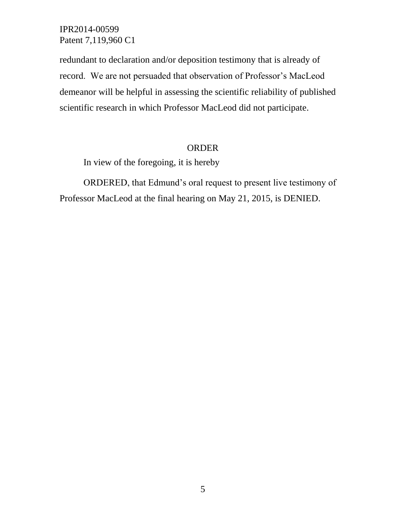IPR2014-00599 Patent 7,119,960 C1

redundant to declaration and/or deposition testimony that is already of record. We are not persuaded that observation of Professor's MacLeod demeanor will be helpful in assessing the scientific reliability of published scientific research in which Professor MacLeod did not participate.

#### ORDER

In view of the foregoing, it is hereby

ORDERED, that Edmund's oral request to present live testimony of Professor MacLeod at the final hearing on May 21, 2015, is DENIED.